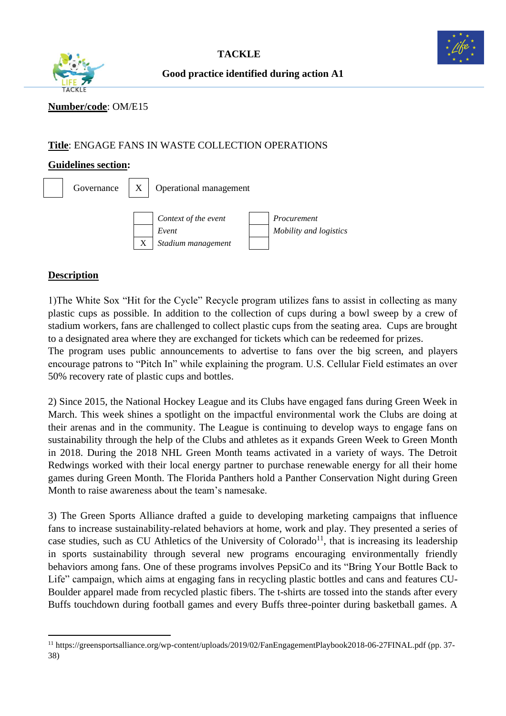



**Good practice identified during action A1**

# **Number/code**: OM/E15

## **Title**: ENGAGE FANS IN WASTE COLLECTION OPERATIONS

## **Guidelines section:**



# **Description**

1)The White Sox "Hit for the Cycle" Recycle program utilizes fans to assist in collecting as many plastic cups as possible. In addition to the collection of cups during a bowl sweep by a crew of stadium workers, fans are challenged to collect plastic cups from the seating area. Cups are brought to a designated area where they are exchanged for tickets which can be redeemed for prizes. The program uses public announcements to advertise to fans over the big screen, and players encourage patrons to "Pitch In" while explaining the program. U.S. Cellular Field estimates an over 50% recovery rate of plastic cups and bottles.

2) Since 2015, the National Hockey League and its Clubs have engaged fans during Green Week in March. This week shines a spotlight on the impactful environmental work the Clubs are doing at their arenas and in the community. The League is continuing to develop ways to engage fans on sustainability through the help of the Clubs and athletes as it expands Green Week to Green Month in 2018. During the 2018 NHL Green Month teams activated in a variety of ways. The Detroit Redwings worked with their local energy partner to purchase renewable energy for all their home games during Green Month. The Florida Panthers hold a Panther Conservation Night during Green Month to raise awareness about the team's namesake.

3) The Green Sports Alliance drafted a guide to developing marketing campaigns that influence fans to increase sustainability-related behaviors at home, work and play. They presented a series of case studies, such as [CU Athletics](http://www.cubuffs.com/) of the University of Colorado<sup>11</sup>, that is increasing its leadership in sports sustainability through several new programs encouraging environmentally friendly behaviors among fans. One of these programs involves PepsiCo and its "Bring Your Bottle Back to Life" campaign, which aims at engaging fans in recycling plastic bottles and cans and features CU-Boulder apparel made from recycled plastic fibers. The t-shirts are tossed into the stands after every Buffs touchdown during football games and every Buffs three-pointer during basketball games. A

<sup>11</sup> <https://greensportsalliance.org/wp-content/uploads/2019/02/FanEngagementPlaybook2018-06-27FINAL.pdf> (pp. 37- 38)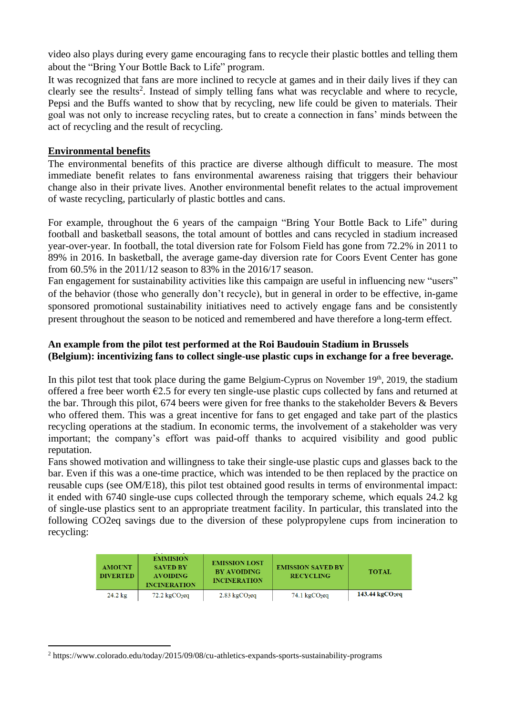video also plays during every game encouraging fans to recycle their plastic bottles and telling them about the "Bring Your Bottle Back to Life" program.

It was recognized that fans are more inclined to recycle at games and in their daily lives if they can clearly see the results 2 . Instead of simply telling fans what was recyclable and where to recycle, Pepsi and the Buffs wanted to show that by recycling, new life could be given to materials. Their goal was not only to increase recycling rates, but to create a connection in fans' minds between the act of recycling and the result of recycling.

## **Environmental benefits**

The environmental benefits of this practice are diverse although difficult to measure. The most immediate benefit relates to fans environmental awareness raising that triggers their behaviour change also in their private lives. Another environmental benefit relates to the actual improvement of waste recycling, particularly of plastic bottles and cans.

For example, throughout the 6 years of the campaign "Bring Your Bottle Back to Life" during football and basketball seasons, the total amount of bottles and cans recycled in stadium increased year-over-year. In football, the total diversion rate for Folsom Field has gone from 72.2% in 2011 to 89% in 2016. In basketball, the average game-day diversion rate for Coors Event Center has gone from 60.5% in the 2011/12 season to 83% in the 2016/17 season.

Fan engagement for sustainability activities like this campaign are useful in influencing new "users" of the behavior (those who generally don't recycle), but in general in order to be effective, in-game sponsored promotional sustainability initiatives need to actively engage fans and be consistently present throughout the season to be noticed and remembered and have therefore a long-term effect.

## **An example from the pilot test performed at the Roi Baudouin Stadium in Brussels (Belgium): incentivizing fans to collect single-use plastic cups in exchange for a free beverage.**

In this pilot test that took place during the game Belgium-Cyprus on November 19<sup>th</sup>, 2019, the stadium offered a free beer worth  $\epsilon$ 2.5 for every ten single-use plastic cups collected by fans and returned at the bar. Through this pilot, 674 beers were given for free thanks to the stakeholder Bevers & Bevers who offered them. This was a great incentive for fans to get engaged and take part of the plastics recycling operations at the stadium. In economic terms, the involvement of a stakeholder was very important; the company's effort was paid-off thanks to acquired visibility and good public reputation.

Fans showed motivation and willingness to take their single-use plastic cups and glasses back to the bar. Even if this was a one-time practice, which was intended to be then replaced by the practice on reusable cups (see OM/E18), this pilot test obtained good results in terms of environmental impact: it ended with 6740 single-use cups collected through the temporary scheme, which equals 24.2 kg of single-use plastics sent to an appropriate treatment facility. In particular, this translated into the following CO2eq savings due to the diversion of these polypropylene cups from incineration to recycling:

| <b>AMOUNT</b><br><b>DIVERTED</b> | <b>EMMISION</b><br><b>SAVED BY</b><br><b>AVOIDING</b><br><b>INCINERATION</b> | <b>EMISSION LOST</b><br><b>BY AVOIDING</b><br><b>INCINERATION</b> | <b>EMISSION SAVED BY</b><br><b>RECYCLING</b> | <b>TOTAL</b>                  |
|----------------------------------|------------------------------------------------------------------------------|-------------------------------------------------------------------|----------------------------------------------|-------------------------------|
| $24.2 \text{ kg}$                | $72.2 \text{ kgCO}_2$ eq                                                     | $2.83 \text{ kgCO}$                                               | $74.1 \text{ kgCO}_2$ eq                     | $143.44 \,\mathrm{kgCO}_2$ eg |

<sup>2</sup> https://www.colorado.edu/today/2015/09/08/cu-athletics-expands-sports-sustainability-programs